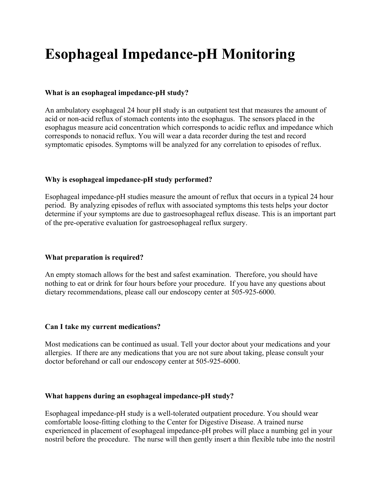# **Esophageal Impedance-pH Monitoring**

## **What is an esophageal impedance-pH study?**

An ambulatory esophageal 24 hour pH study is an outpatient test that measures the amount of acid or non-acid reflux of stomach contents into the esophagus. The sensors placed in the esophagus measure acid concentration which corresponds to acidic reflux and impedance which corresponds to nonacid reflux. You will wear a data recorder during the test and record symptomatic episodes. Symptoms will be analyzed for any correlation to episodes of reflux.

## **Why is esophageal impedance-pH study performed?**

Esophageal impedance-pH studies measure the amount of reflux that occurs in a typical 24 hour period. By analyzing episodes of reflux with associated symptoms this tests helps your doctor determine if your symptoms are due to gastroesophageal reflux disease. This is an important part of the pre-operative evaluation for gastroesophageal reflux surgery.

## **What preparation is required?**

An empty stomach allows for the best and safest examination. Therefore, you should have nothing to eat or drink for four hours before your procedure. If you have any questions about dietary recommendations, please call our endoscopy center at 505-925-6000.

## **Can I take my current medications?**

Most medications can be continued as usual. Tell your doctor about your medications and your allergies. If there are any medications that you are not sure about taking, please consult your doctor beforehand or call our endoscopy center at 505-925-6000.

#### **What happens during an esophageal impedance-pH study?**

Esophageal impedance-pH study is a well-tolerated outpatient procedure. You should wear comfortable loose-fitting clothing to the Center for Digestive Disease. A trained nurse experienced in placement of esophageal impedance-pH probes will place a numbing gel in your nostril before the procedure. The nurse will then gently insert a thin flexible tube into the nostril